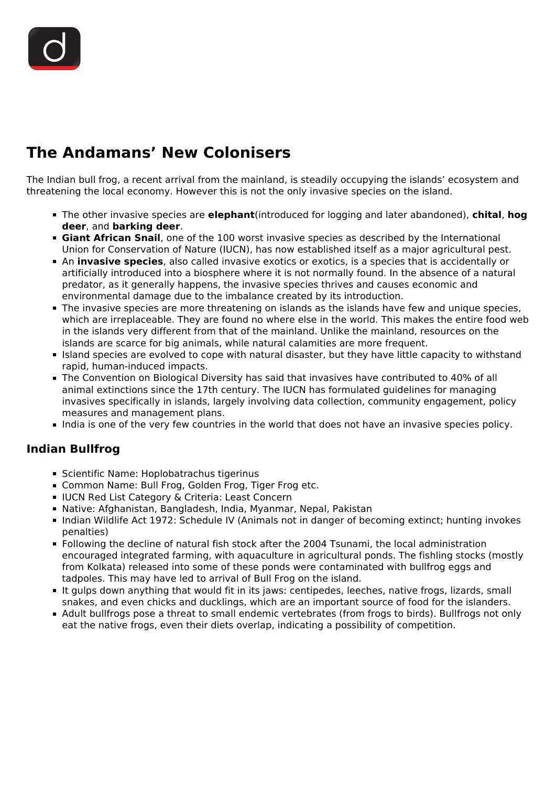## **The Andamans' New Colonisers**

The Indian bull frog, a recent arrival from the mainland, is steadily occupying the islands' ecosystem and threatening the local economy. However this is not the only invasive species on the island.

- The other invasive species are **elephant**(introduced for logging and later abandoned), **chital**, **hog deer**, and **barking deer**.
- **Giant African Snail**, one of the 100 worst invasive species as described by the International Union for Conservation of Nature (IUCN), has now established itself as a major agricultural pest.
- An **invasive species**, also called invasive exotics or exotics, is a species that is accidentally or artificially introduced into a biosphere where it is not normally found. In the absence of a natural predator, as it generally happens, the invasive species thrives and causes economic and environmental damage due to the imbalance created by its introduction.
- The invasive species are more threatening on islands as the islands have few and unique species, which are irreplaceable. They are found no where else in the world. This makes the entire food web in the islands very different from that of the mainland. Unlike the mainland, resources on the islands are scarce for big animals, while natural calamities are more frequent.
- Island species are evolved to cope with natural disaster, but they have little capacity to withstand rapid, human-induced impacts.
- The Convention on Biological Diversity has said that invasives have contributed to 40% of all animal extinctions since the 17th century. The IUCN has formulated guidelines for managing invasives specifically in islands, largely involving data collection, community engagement, policy measures and management plans.
- India is one of the very few countries in the world that does not have an invasive species policy.

## **Indian Bullfrog**

- Scientific Name: Hoplobatrachus tigerinus
- Common Name: Bull Frog, Golden Frog, Tiger Frog etc.
- **IUCN Red List Category & Criteria: Least Concern**
- Native: Afghanistan, Bangladesh, India, Myanmar, Nepal, Pakistan
- Indian Wildlife Act 1972: Schedule IV (Animals not in danger of becoming extinct; hunting invokes penalties)
- Following the decline of natural fish stock after the 2004 Tsunami, the local administration encouraged integrated farming, with aquaculture in agricultural ponds. The fishling stocks (mostly from Kolkata) released into some of these ponds were contaminated with bullfrog eggs and tadpoles. This may have led to arrival of Bull Frog on the island.
- It gulps down anything that would fit in its jaws: centipedes, leeches, native frogs, lizards, small snakes, and even chicks and ducklings, which are an important source of food for the islanders.
- Adult bullfrogs pose a threat to small endemic vertebrates (from frogs to birds). Bullfrogs not only eat the native frogs, even their diets overlap, indicating a possibility of competition.